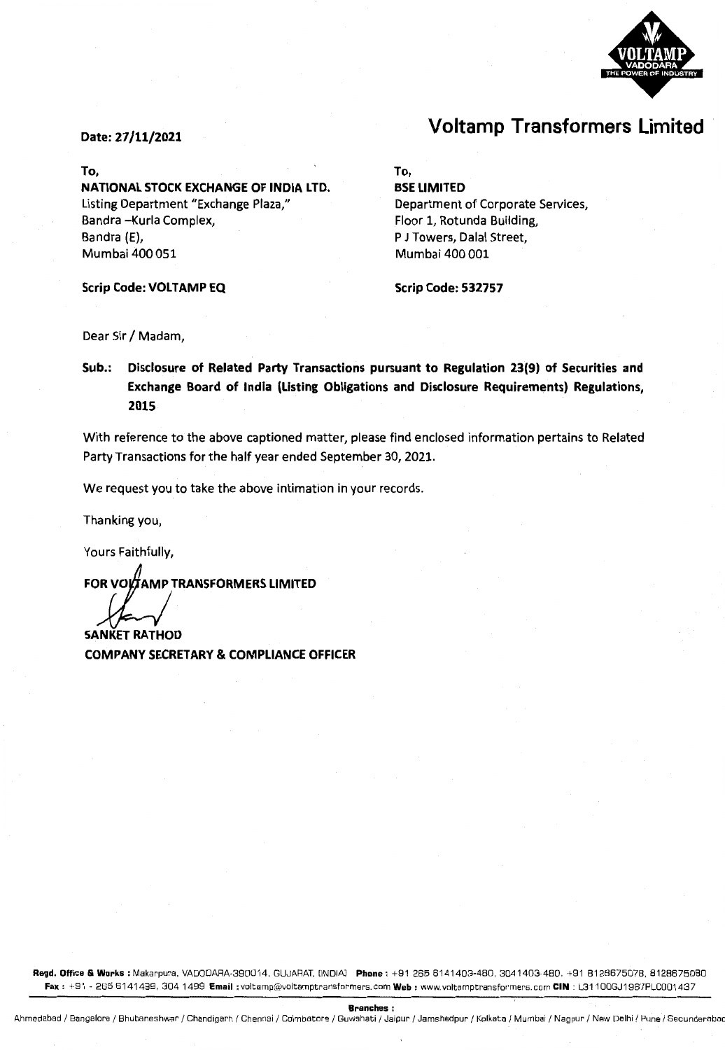

# **Voltamp Transformers Limited**

#### Date: 27/11/2021

#### To,

NATIONAL STOCK EXCHANGE OF INDIA LTD. Listing Department "Exchange Plaza," Sandra -Kurla Complex, Bandra (E), Mumbai 400 051

Scrip Code: VOLTAMP EQ

#### To,

BSE LIMITED Department of Corporate Services, Floor 1, Rotunda Building, P J Towers, Dalal Street, Mumbai 400 001

Scrip Code: 532757

Dear Sir / Madam,

Sub.: Disclosure of Related Party Transactions pursuant to Regulation 23(9) of Securities and Exchange Board of India (Listing Obligations and Disclosure Requirements) Regulations, 2015

With reference to the above captioned matter, please find enclosed information pertains to Related Party Transactions for the half year ended September 30, 2021.

We request you to take the above intimation in your records.

Thanking you,

Yours Faithfully,

FOR VOLTAMP TRANSFORMERS LIMITED

SANKET RATHOD COMPANY SECRETARY & COMPLIANCE OFFICER

Regd. Office & Works : Makarpura, VADODARA-390014, GUJARAT, [INDIA] Phone: +91 265 6141403-480, 3041403-480, +91 8128675078, 8128675080 Fax: +91 - 265 6141499, 304 1499 Email: voltamp@voltamptransformers.com Web: www.voltamptransformers.com CIN: L31100GJ1967PLC001437

Branches:

Ahmedabad / Bangalore / Bhubaneshwar / Chandigarh / Chennai / Coimbatore / Guwahati / Jaipur / Jamshedpur / Kolkata / Mumbai / Nagpur / New Delhi / Pune / Secunderabad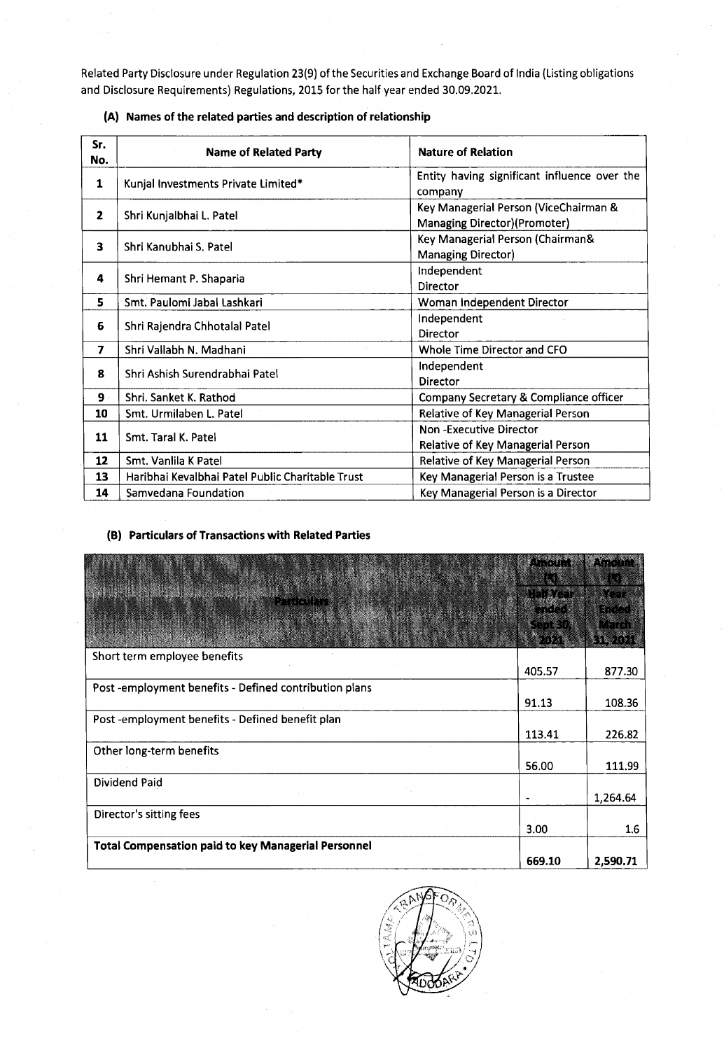Related Party Disclosure under Regulation 23(9) of the Securities and Exchange Board of India (Listing obligations and Disclosure Requirements) Regulations, 2015 for the half year ended 30.09.2021.

| Sr.<br>No.     | <b>Name of Related Party</b>                     | <b>Nature of Relation</b>                                             |  |  |
|----------------|--------------------------------------------------|-----------------------------------------------------------------------|--|--|
| 1              | Kunjal Investments Private Limited*              | Entity having significant influence over the<br>company               |  |  |
| $\mathbf{z}$   | Shri Kunjalbhai L. Patel                         | Key Managerial Person (ViceChairman &<br>Managing Director)(Promoter) |  |  |
| 3              | Shri Kanubhai S. Patel                           | Key Managerial Person (Chairman&<br><b>Managing Director)</b>         |  |  |
| 4              | Shri Hemant P. Shaparia                          | Independent<br><b>Director</b>                                        |  |  |
| 5              | Smt. Paulomi Jabal Lashkari                      | Woman Independent Director                                            |  |  |
| 6              | Shri Rajendra Chhotalal Patel                    | Independent<br>Director                                               |  |  |
| $\overline{ }$ | Shri Vallabh N. Madhani                          | Whole Time Director and CFO                                           |  |  |
| 8              | Shri Ashish Surendrabhai Patel                   | Independent<br>Director                                               |  |  |
| 9.             | Shri. Sanket K. Rathod                           | Company Secretary & Compliance officer                                |  |  |
| 10             | Smt. Urmilaben L. Patel                          | Relative of Key Managerial Person                                     |  |  |
| 11             | Smt. Taral K. Patel                              | Non-Executive Director<br>Relative of Key Managerial Person           |  |  |
| 12             | Smt. Vanlila K Patel                             | Relative of Key Managerial Person                                     |  |  |
| 13             | Haribhai Kevalbhai Patel Public Charitable Trust | Key Managerial Person is a Trustee                                    |  |  |
| 14             | Samvedana Foundation                             | Key Managerial Person is a Director                                   |  |  |

## **(A) Names of the related parties and description of relationship**

## **(B) Particulars of Transactions with Related Parties**

|                                                            | <b>MARTIN</b>     | 1.333(4)              |
|------------------------------------------------------------|-------------------|-----------------------|
|                                                            | <b>Linkers</b>    |                       |
|                                                            | atra<br>RTT E DIE | RTIC<br><b>I</b> File |
|                                                            |                   |                       |
| Short term employee benefits                               |                   |                       |
|                                                            | 405.57            | 877.30                |
| Post -employment benefits - Defined contribution plans     |                   |                       |
|                                                            | 91.13             | 108.36                |
| Post-employment benefits - Defined benefit plan            |                   |                       |
|                                                            | 113.41            | 226.82                |
| Other long-term benefits                                   |                   |                       |
|                                                            | 56.00             | 111.99                |
| Dividend Paid                                              |                   |                       |
|                                                            |                   | 1,264.64              |
| Director's sitting fees                                    |                   |                       |
|                                                            | 3.00              | $1.6\,$               |
| <b>Total Compensation paid to key Managerial Personnel</b> |                   |                       |
|                                                            | 669.10            | 2,590.71              |